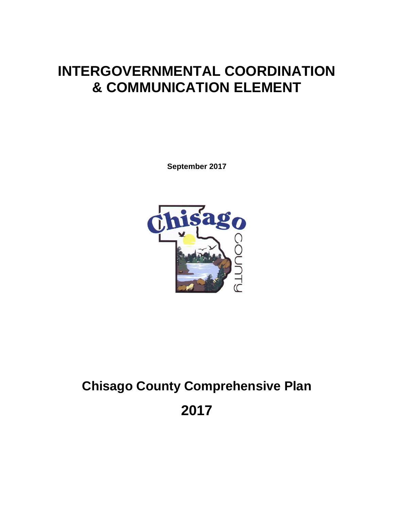# **INTERGOVERNMENTAL COORDINATION & COMMUNICATION ELEMENT**

**September 2017**



# **Chisago County Comprehensive Plan 2017**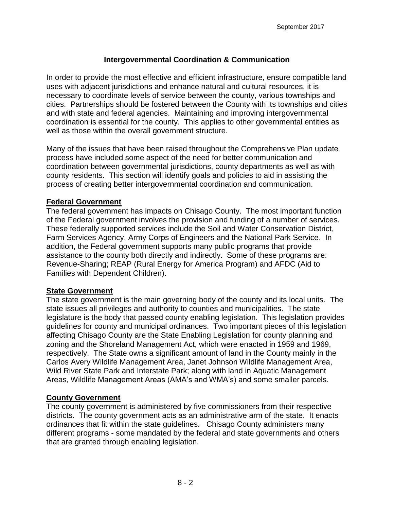# **Intergovernmental Coordination & Communication**

In order to provide the most effective and efficient infrastructure, ensure compatible land uses with adjacent jurisdictions and enhance natural and cultural resources, it is necessary to coordinate levels of service between the county, various townships and cities. Partnerships should be fostered between the County with its townships and cities and with state and federal agencies. Maintaining and improving intergovernmental coordination is essential for the county. This applies to other governmental entities as well as those within the overall government structure.

Many of the issues that have been raised throughout the Comprehensive Plan update process have included some aspect of the need for better communication and coordination between governmental jurisdictions, county departments as well as with county residents. This section will identify goals and policies to aid in assisting the process of creating better intergovernmental coordination and communication.

#### **Federal Government**

The federal government has impacts on Chisago County. The most important function of the Federal government involves the provision and funding of a number of services. These federally supported services include the Soil and Water Conservation District, Farm Services Agency, Army Corps of Engineers and the National Park Service. In addition, the Federal government supports many public programs that provide assistance to the county both directly and indirectly. Some of these programs are: Revenue-Sharing; REAP (Rural Energy for America Program) and AFDC (Aid to Families with Dependent Children).

#### **State Government**

The state government is the main governing body of the county and its local units. The state issues all privileges and authority to counties and municipalities. The state legislature is the body that passed county enabling legislation. This legislation provides guidelines for county and municipal ordinances. Two important pieces of this legislation affecting Chisago County are the State Enabling Legislation for county planning and zoning and the Shoreland Management Act, which were enacted in 1959 and 1969, respectively. The State owns a significant amount of land in the County mainly in the Carlos Avery Wildlife Management Area, Janet Johnson Wildlife Management Area, Wild River State Park and Interstate Park; along with land in Aquatic Management Areas, Wildlife Management Areas (AMA's and WMA's) and some smaller parcels.

#### **County Government**

The county government is administered by five commissioners from their respective districts. The county government acts as an administrative arm of the state. It enacts ordinances that fit within the state guidelines. Chisago County administers many different programs - some mandated by the federal and state governments and others that are granted through enabling legislation.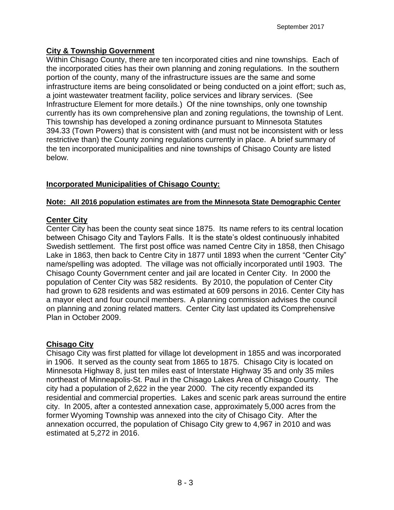# **City & Township Government**

Within Chisago County, there are ten incorporated cities and nine townships. Each of the incorporated cities has their own planning and zoning regulations. In the southern portion of the county, many of the infrastructure issues are the same and some infrastructure items are being consolidated or being conducted on a joint effort; such as, a joint wastewater treatment facility, police services and library services. (See Infrastructure Element for more details.) Of the nine townships, only one township currently has its own comprehensive plan and zoning regulations, the township of Lent. This township has developed a zoning ordinance pursuant to Minnesota Statutes 394.33 (Town Powers) that is consistent with (and must not be inconsistent with or less restrictive than) the County zoning regulations currently in place. A brief summary of the ten incorporated municipalities and nine townships of Chisago County are listed below.

# **Incorporated Municipalities of Chisago County:**

#### **Note: All 2016 population estimates are from the Minnesota State Demographic Center**

# **Center City**

Center City has been the county seat since 1875. Its name refers to its central location between Chisago City and Taylors Falls. It is the state's oldest continuously inhabited Swedish settlement. The first post office was named Centre City in 1858, then Chisago Lake in 1863, then back to Centre City in 1877 until 1893 when the current "Center City" name/spelling was adopted. The village was not officially incorporated until 1903. The Chisago County Government center and jail are located in Center City. In 2000 the population of Center City was 582 residents. By 2010, the population of Center City had grown to 628 residents and was estimated at 609 persons in 2016. Center City has a mayor elect and four council members. A planning commission advises the council on planning and zoning related matters. Center City last updated its Comprehensive Plan in October 2009.

# **Chisago City**

Chisago City was first platted for village lot development in 1855 and was incorporated in 1906. It served as the county seat from 1865 to 1875. Chisago City is located on Minnesota Highway 8, just ten miles east of Interstate Highway 35 and only 35 miles northeast of [Minneapolis](http://www.ci.minneapolis.mn.us/)[-St. Paul](http://www.ci.saint-paul.mn.us/) in the Chisago Lakes Area of Chisago County. The city had a population of 2,622 in the year 2000. The city recently expanded its residential and commercial properties. Lakes and scenic park areas surround the entire city. In 2005, after a contested annexation case, approximately 5,000 acres from the former Wyoming Township was annexed into the city of Chisago City. After the annexation occurred, the population of Chisago City grew to 4,967 in 2010 and was estimated at 5,272 in 2016.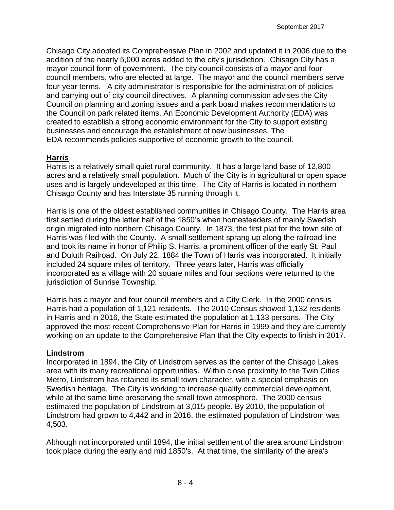Chisago City adopted its Comprehensive Plan in 2002 and updated it in 2006 due to the addition of the nearly 5,000 acres added to the city's jurisdiction. Chisago City has a mayor-council form of government. The city council consists of a mayor and four council members, who are elected at large. The mayor and the council members serve four-year terms. A city administrator is responsible for the administration of policies and carrying out of city council directives. A planning commission advises the City Council on planning and zoning issues and a park board makes recommendations to the Council on park related items. An Economic Development Authority (EDA) was created to establish a strong economic environment for the City to support existing businesses and encourage the establishment of new businesses. The EDA recommends policies supportive of economic growth to the council.

#### **Harris**

Harris is a relatively small quiet rural community. It has a large land base of 12,800 acres and a relatively small population. Much of the City is in agricultural or open space uses and is largely undeveloped at this time. The City of Harris is located in northern Chisago County and has Interstate 35 running through it.

Harris is one of the oldest established communities in Chisago County. The Harris area first settled during the latter half of the 1850's when homesteaders of mainly Swedish origin migrated into northern Chisago County. In 1873, the first plat for the town site of Harris was filed with the County. A small settlement sprang up along the railroad line and took its name in honor of Philip S. Harris, a prominent officer of the early St. Paul and Duluth Railroad. On July 22, 1884 the Town of Harris was incorporated. It initially included 24 square miles of territory. Three years later, Harris was officially incorporated as a village with 20 square miles and four sections were returned to the jurisdiction of Sunrise Township.

Harris has a mayor and four council members and a City Clerk. In the 2000 census Harris had a population of 1,121 residents. The 2010 Census showed 1,132 residents in Harris and in 2016, the State estimated the population at 1,133 persons. The City approved the most recent Comprehensive Plan for Harris in 1999 and they are currently working on an update to the Comprehensive Plan that the City expects to finish in 2017.

#### **Lindstrom**

Incorporated in 1894, the City of Lindstrom serves as the center of the Chisago Lakes area with its many recreational opportunities. Within close proximity to the Twin Cities Metro, Lindstrom has retained its small town character, with a special emphasis on Swedish heritage. The City is working to increase quality commercial development, while at the same time preserving the small town atmosphere. The 2000 census estimated the population of Lindstrom at 3,015 people. By 2010, the population of Lindstrom had grown to 4,442 and in 2016, the estimated population of Lindstrom was 4,503.

Although not incorporated until 1894, the initial settlement of the area around Lindstrom took place during the early and mid 1850's. At that time, the similarity of the area's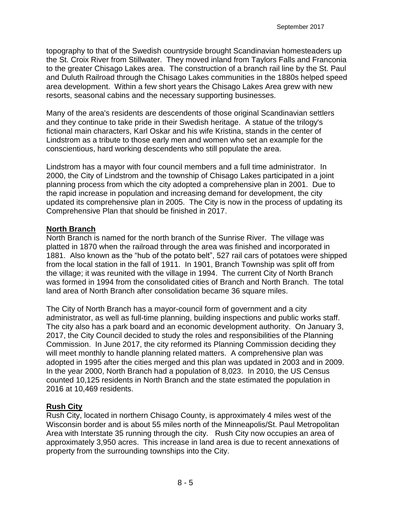topography to that of the Swedish countryside brought Scandinavian homesteaders up the St. Croix River from Stillwater. They moved inland from Taylors Falls and Franconia to the greater Chisago Lakes area. The construction of a branch rail line by the St. Paul and Duluth Railroad through the Chisago Lakes communities in the 1880s helped speed area development. Within a few short years the Chisago Lakes Area grew with new resorts, seasonal cabins and the necessary supporting businesses.

Many of the area's residents are descendents of those original Scandinavian settlers and they continue to take pride in their Swedish heritage. A statue of the trilogy's fictional main characters, Karl Oskar and his wife Kristina, stands in the center of Lindstrom as a tribute to those early men and women who set an example for the conscientious, hard working descendents who still populate the area.

Lindstrom has a mayor with four council members and a full time administrator. In 2000, the City of Lindstrom and the township of Chisago Lakes participated in a joint planning process from which the city adopted a comprehensive plan in 2001. Due to the rapid increase in population and increasing demand for development, the city updated its comprehensive plan in 2005. The City is now in the process of updating its Comprehensive Plan that should be finished in 2017.

#### **North Branch**

North Branch is named for the north branch of the Sunrise River. The village was platted in 1870 when the railroad through the area was finished and incorporated in 1881. Also known as the "hub of the potato belt", 527 rail cars of potatoes were shipped from the local station in the fall of 1911. In 1901, Branch Township was split off from the village; it was reunited with the village in 1994. The current City of North Branch was formed in 1994 from the consolidated cities of Branch and North Branch. The total land area of North Branch after consolidation became 36 square miles.

The City of North Branch has a mayor-council form of government and a city administrator, as well as full-time planning, building inspections and public works staff. The city also has a park board and an economic development authority. On January 3, 2017, the City Council decided to study the roles and responsibilities of the Planning Commission. In June 2017, the city reformed its Planning Commission deciding they will meet monthly to handle planning related matters. A comprehensive plan was adopted in 1995 after the cities merged and this plan was updated in 2003 and in 2009. In the year 2000, North Branch had a population of 8,023. In 2010, the US Census counted 10,125 residents in North Branch and the state estimated the population in 2016 at 10,469 residents.

#### **Rush City**

Rush City, located in northern Chisago County, is approximately 4 miles west of the Wisconsin border and is about 55 miles north of the Minneapolis/St. Paul Metropolitan Area with Interstate 35 running through the city. Rush City now occupies an area of approximately 3,950 acres. This increase in land area is due to recent annexations of property from the surrounding townships into the City.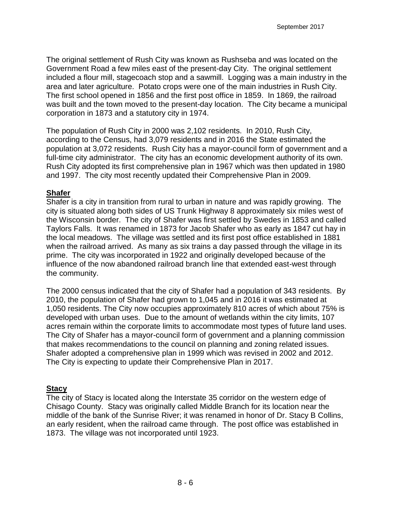The original settlement of Rush City was known as Rushseba and was located on the Government Road a few miles east of the present-day City. The original settlement included a flour mill, stagecoach stop and a sawmill. Logging was a main industry in the area and later agriculture. Potato crops were one of the main industries in Rush City. The first school opened in 1856 and the first post office in 1859. In 1869, the railroad was built and the town moved to the present-day location. The City became a municipal corporation in 1873 and a statutory city in 1974.

The population of Rush City in 2000 was 2,102 residents. In 2010, Rush City, according to the Census, had 3,079 residents and in 2016 the State estimated the population at 3,072 residents. Rush City has a mayor-council form of government and a full-time city administrator. The city has an economic development authority of its own. Rush City adopted its first comprehensive plan in 1967 which was then updated in 1980 and 1997. The city most recently updated their Comprehensive Plan in 2009.

#### **Shafer**

Shafer is a city in transition from rural to urban in nature and was rapidly growing. The city is situated along both sides of US Trunk Highway 8 approximately six miles west of the Wisconsin border. The city of Shafer was first settled by Swedes in 1853 and called Taylors Falls. It was renamed in 1873 for Jacob Shafer who as early as 1847 cut hay in the local meadows. The village was settled and its first post office established in 1881 when the railroad arrived. As many as six trains a day passed through the village in its prime. The city was incorporated in 1922 and originally developed because of the influence of the now abandoned railroad branch line that extended east-west through the community.

The 2000 census indicated that the city of Shafer had a population of 343 residents. By 2010, the population of Shafer had grown to 1,045 and in 2016 it was estimated at 1,050 residents. The City now occupies approximately 810 acres of which about 75% is developed with urban uses. Due to the amount of wetlands within the city limits, 107 acres remain within the corporate limits to accommodate most types of future land uses. The City of Shafer has a mayor-council form of government and a planning commission that makes recommendations to the council on planning and zoning related issues. Shafer adopted a comprehensive plan in 1999 which was revised in 2002 and 2012. The City is expecting to update their Comprehensive Plan in 2017.

# **Stacy**

The city of Stacy is located along the Interstate 35 corridor on the western edge of Chisago County. Stacy was originally called Middle Branch for its location near the middle of the bank of the Sunrise River; it was renamed in honor of Dr. Stacy B Collins, an early resident, when the railroad came through. The post office was established in 1873. The village was not incorporated until 1923.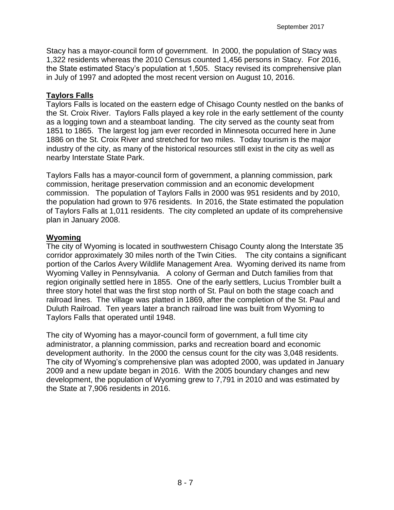Stacy has a mayor-council form of government. In 2000, the population of Stacy was 1,322 residents whereas the 2010 Census counted 1,456 persons in Stacy. For 2016, the State estimated Stacy's population at 1,505. Stacy revised its comprehensive plan in July of 1997 and adopted the most recent version on August 10, 2016.

#### **Taylors Falls**

Taylors Falls is located on the eastern edge of Chisago County nestled on the banks of the St. Croix River. Taylors Falls played a key role in the early settlement of the county as a logging town and a steamboat landing. The city served as the county seat from 1851 to 1865. The largest log jam ever recorded in Minnesota occurred here in June 1886 on the St. Croix River and stretched for two miles. Today tourism is the major industry of the city, as many of the historical resources still exist in the city as well as nearby Interstate State Park.

Taylors Falls has a mayor-council form of government, a planning commission, park commission, heritage preservation commission and an economic development commission. The population of Taylors Falls in 2000 was 951 residents and by 2010, the population had grown to 976 residents. In 2016, the State estimated the population of Taylors Falls at 1,011 residents. The city completed an update of its comprehensive plan in January 2008.

#### **Wyoming**

The city of Wyoming is located in southwestern Chisago County along the Interstate 35 corridor approximately 30 miles north of the Twin Cities. The city contains a significant portion of the Carlos Avery Wildlife Management Area. Wyoming derived its name from Wyoming Valley in Pennsylvania. A colony of German and Dutch families from that region originally settled here in 1855. One of the early settlers, Lucius Trombler built a three story hotel that was the first stop north of St. Paul on both the stage coach and railroad lines. The village was platted in 1869, after the completion of the St. Paul and Duluth Railroad. Ten years later a branch railroad line was built from Wyoming to Taylors Falls that operated until 1948.

The city of Wyoming has a mayor-council form of government, a full time city administrator, a planning commission, parks and recreation board and economic development authority. In the 2000 the census count for the city was 3,048 residents. The city of Wyoming's comprehensive plan was adopted 2000, was updated in January 2009 and a new update began in 2016. With the 2005 boundary changes and new development, the population of Wyoming grew to 7,791 in 2010 and was estimated by the State at 7,906 residents in 2016.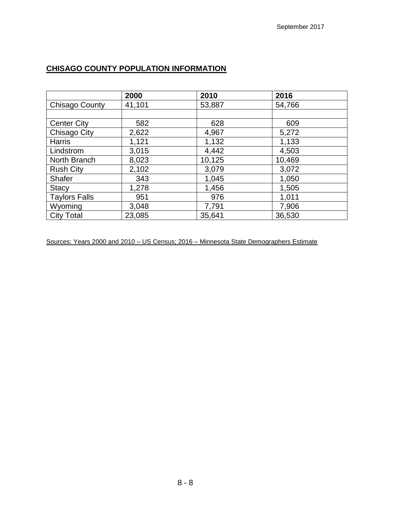# **CHISAGO COUNTY POPULATION INFORMATION**

|                      | 2000   | 2010   | 2016   |
|----------------------|--------|--------|--------|
| Chisago County       | 41,101 | 53,887 | 54,766 |
|                      |        |        |        |
| <b>Center City</b>   | 582    | 628    | 609    |
| <b>Chisago City</b>  | 2,622  | 4,967  | 5,272  |
| <b>Harris</b>        | 1,121  | 1,132  | 1,133  |
| Lindstrom            | 3,015  | 4,442  | 4,503  |
| North Branch         | 8,023  | 10,125 | 10,469 |
| <b>Rush City</b>     | 2,102  | 3,079  | 3,072  |
| <b>Shafer</b>        | 343    | 1,045  | 1,050  |
| <b>Stacy</b>         | 1,278  | 1,456  | 1,505  |
| <b>Taylors Falls</b> | 951    | 976    | 1,011  |
| Wyoming              | 3,048  | 7,791  | 7,906  |
| <b>City Total</b>    | 23,085 | 35,641 | 36,530 |

Sources: Years 2000 and 2010 – US Census; 2016 – Minnesota State Demographers Estimate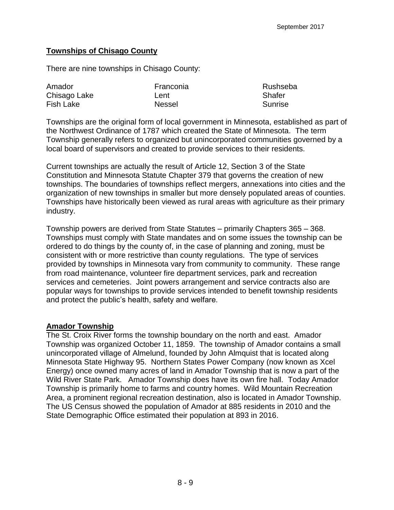## **Townships of Chisago County**

There are nine townships in Chisago County:

| Amador       | Franconia     | Rushseba |
|--------------|---------------|----------|
| Chisago Lake | Lent          | Shafer   |
| Fish Lake    | <b>Nessel</b> | Sunrise  |

Townships are the original form of local government in Minnesota, established as part of the Northwest Ordinance of 1787 which created the State of Minnesota. The term Township generally refers to organized but unincorporated communities governed by a local board of supervisors and created to provide services to their residents.

Current townships are actually the result of Article 12, Section 3 of the State Constitution and Minnesota Statute Chapter 379 that governs the creation of new townships. The boundaries of townships reflect mergers, annexations into cities and the organization of new townships in smaller but more densely populated areas of counties. Townships have historically been viewed as rural areas with agriculture as their primary industry.

Township powers are derived from State Statutes – primarily Chapters 365 – 368. Townships must comply with State mandates and on some issues the township can be ordered to do things by the county of, in the case of planning and zoning, must be consistent with or more restrictive than county regulations. The type of services provided by townships in Minnesota vary from community to community. These range from road maintenance, volunteer fire department services, park and recreation services and cemeteries. Joint powers arrangement and service contracts also are popular ways for townships to provide services intended to benefit township residents and protect the public's health, safety and welfare.

#### **Amador Township**

The St. Croix River forms the township boundary on the north and east. Amador Township was organized October 11, 1859. The township of Amador contains a small unincorporated village of Almelund, founded by John Almquist that is located along Minnesota State Highway 95. Northern States Power Company (now known as Xcel Energy) once owned many acres of land in Amador Township that is now a part of the Wild River State Park. Amador Township does have its own fire hall. Today Amador Township is primarily home to farms and country homes. Wild Mountain Recreation Area, a prominent regional recreation destination, also is located in Amador Township. The US Census showed the population of Amador at 885 residents in 2010 and the State Demographic Office estimated their population at 893 in 2016.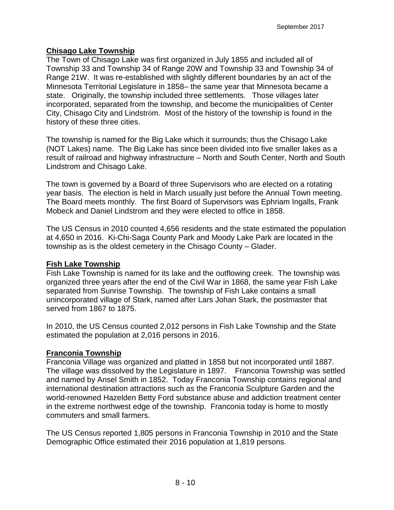## **Chisago Lake Township**

The Town of Chisago Lake was first organized in July 1855 and included all of Township 33 and Township 34 of Range 20W and Township 33 and Township 34 of Range 21W. It was re-established with slightly different boundaries by an act of the Minnesota Territorial Legislature in 1858– the same year that Minnesota became a state. Originally, the township included three settlements. Those villages later incorporated, separated from the township, and become the municipalities of Center City, Chisago City and Lindström. Most of the history of the township is found in the history of these three cities.

The township is named for the Big Lake which it surrounds; thus the Chisago Lake (NOT Lakes) name. The Big Lake has since been divided into five smaller lakes as a result of railroad and highway infrastructure – North and South Center, North and South Lindstrom and Chisago Lake.

The town is governed by a Board of three Supervisors who are elected on a rotating year basis. The election is held in March usually just before the Annual Town meeting. The Board meets monthly. The first Board of Supervisors was Ephriam Ingalls, Frank Mobeck and Daniel Lindstrom and they were elected to office in 1858.

The US Census in 2010 counted 4,656 residents and the state estimated the population at 4,650 in 2016. Ki-Chi-Saga County Park and Moody Lake Park are located in the township as is the oldest cemetery in the Chisago County – Glader.

#### **Fish Lake Township**

Fish Lake Township is named for its lake and the outflowing creek. The township was organized three years after the end of the Civil War in 1868, the same year Fish Lake separated from Sunrise Township. The township of Fish Lake contains a small unincorporated village of Stark, named after Lars Johan Stark, the postmaster that served from 1867 to 1875.

In 2010, the US Census counted 2,012 persons in Fish Lake Township and the State estimated the population at 2,016 persons in 2016.

# **Franconia Township**

Franconia Village was organized and platted in 1858 but not incorporated until 1887. The village was dissolved by the Legislature in 1897. Franconia Township was settled and named by Ansel Smith in 1852. Today Franconia Township contains regional and international destination attractions such as the Franconia Sculpture Garden and the world-renowned Hazelden Betty Ford substance abuse and addiction treatment center in the extreme northwest edge of the township. Franconia today is home to mostly commuters and small farmers.

The US Census reported 1,805 persons in Franconia Township in 2010 and the State Demographic Office estimated their 2016 population at 1,819 persons.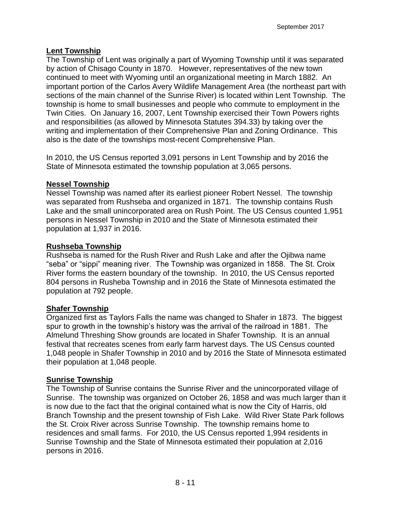# **Lent Township**

The Township of Lent was originally a part of Wyoming Township until it was separated by action of Chisago County in 1870. However, representatives of the new town continued to meet with Wyoming until an organizational meeting in March 1882. An important portion of the Carlos Avery Wildlife Management Area (the northeast part with sections of the main channel of the Sunrise River) is located within Lent Township. The township is home to small businesses and people who commute to employment in the Twin Cities. On January 16, 2007, Lent Township exercised their Town Powers rights and responsibilities (as allowed by Minnesota Statutes 394.33) by taking over the writing and implementation of their Comprehensive Plan and Zoning Ordinance. This also is the date of the townships most-recent Comprehensive Plan.

In 2010, the US Census reported 3,091 persons in Lent Township and by 2016 the State of Minnesota estimated the township population at 3,065 persons.

#### **Nessel Township**

Nessel Township was named after its earliest pioneer Robert Nessel. The township was separated from Rushseba and organized in 1871. The township contains Rush Lake and the small unincorporated area on Rush Point. The US Census counted 1,951 persons in Nessel Township in 2010 and the State of Minnesota estimated their population at 1,937 in 2016.

#### **Rushseba Township**

Rushseba is named for the Rush River and Rush Lake and after the Ojibwa name "seba" or "sippi" meaning river. The Township was organized in 1858. The St. Croix River forms the eastern boundary of the township. In 2010, the US Census reported 804 persons in Rusheba Township and in 2016 the State of Minnesota estimated the population at 792 people.

#### **Shafer Township**

Organized first as Taylors Falls the name was changed to Shafer in 1873. The biggest spur to growth in the township's history was the arrival of the railroad in 1881. The Almelund Threshing Show grounds are located in Shafer Township. It is an annual festival that recreates scenes from early farm harvest days. The US Census counted 1,048 people in Shafer Township in 2010 and by 2016 the State of Minnesota estimated their population at 1,048 people.

#### **Sunrise Township**

The Township of Sunrise contains the Sunrise River and the unincorporated village of Sunrise. The township was organized on October 26, 1858 and was much larger than it is now due to the fact that the original contained what is now the City of Harris, old Branch Township and the present township of Fish Lake. Wild River State Park follows the St. Croix River across Sunrise Township. The township remains home to residences and small farms. For 2010, the US Census reported 1,994 residents in Sunrise Township and the State of Minnesota estimated their population at 2,016 persons in 2016.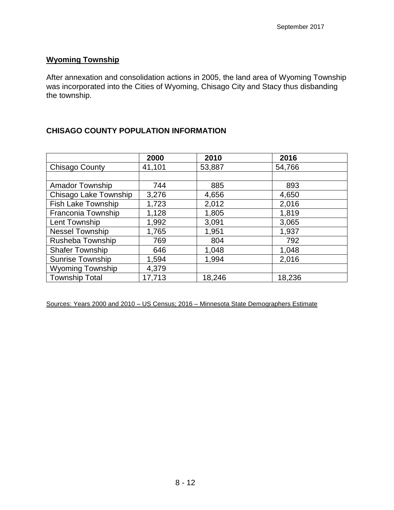#### **Wyoming Township**

After annexation and consolidation actions in 2005, the land area of Wyoming Township was incorporated into the Cities of Wyoming, Chisago City and Stacy thus disbanding the township.

# **CHISAGO COUNTY POPULATION INFORMATION**

|                           | 2000   | 2010   | 2016   |  |
|---------------------------|--------|--------|--------|--|
| <b>Chisago County</b>     | 41,101 | 53,887 | 54,766 |  |
|                           |        |        |        |  |
| <b>Amador Township</b>    | 744    | 885    | 893    |  |
| Chisago Lake Township     | 3,276  | 4,656  | 4,650  |  |
| <b>Fish Lake Township</b> | 1,723  | 2,012  | 2,016  |  |
| Franconia Township        | 1,128  | 1,805  | 1,819  |  |
| Lent Township             | 1,992  | 3,091  | 3,065  |  |
| Nessel Township           | 1,765  | 1,951  | 1,937  |  |
| Rusheba Township          | 769    | 804    | 792    |  |
| <b>Shafer Township</b>    | 646    | 1,048  | 1,048  |  |
| <b>Sunrise Township</b>   | 1,594  | 1,994  | 2,016  |  |
| <b>Wyoming Township</b>   | 4,379  |        |        |  |
| <b>Township Total</b>     | 17,713 | 18,246 | 18,236 |  |

Sources: Years 2000 and 2010 – US Census; 2016 – Minnesota State Demographers Estimate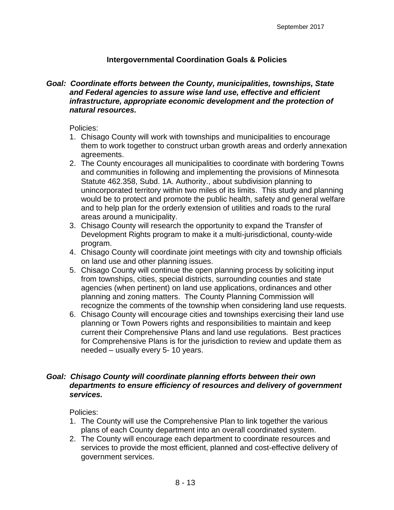#### **Intergovernmental Coordination Goals & Policies**

#### *Goal: Coordinate efforts between the County, municipalities, townships, State and Federal agencies to assure wise land use, effective and efficient infrastructure, appropriate economic development and the protection of natural resources.*

#### Policies:

- 1. Chisago County will work with townships and municipalities to encourage them to work together to construct urban growth areas and orderly annexation agreements.
- 2. The County encourages all municipalities to coordinate with bordering Towns and communities in following and implementing the provisions of Minnesota Statute 462.358, Subd. 1A. Authority., about subdivision planning to unincorporated territory within two miles of its limits. This study and planning would be to protect and promote the public health, safety and general welfare and to help plan for the orderly extension of utilities and roads to the rural areas around a municipality.
- 3. Chisago County will research the opportunity to expand the Transfer of Development Rights program to make it a multi-jurisdictional, county-wide program.
- 4. Chisago County will coordinate joint meetings with city and township officials on land use and other planning issues.
- 5. Chisago County will continue the open planning process by soliciting input from townships, cities, special districts, surrounding counties and state agencies (when pertinent) on land use applications, ordinances and other planning and zoning matters. The County Planning Commission will recognize the comments of the township when considering land use requests.
- 6. Chisago County will encourage cities and townships exercising their land use planning or Town Powers rights and responsibilities to maintain and keep current their Comprehensive Plans and land use regulations. Best practices for Comprehensive Plans is for the jurisdiction to review and update them as needed – usually every 5- 10 years.

#### *Goal: Chisago County will coordinate planning efforts between their own departments to ensure efficiency of resources and delivery of government services.*

Policies:

- 1. The County will use the Comprehensive Plan to link together the various plans of each County department into an overall coordinated system.
- 2. The County will encourage each department to coordinate resources and services to provide the most efficient, planned and cost-effective delivery of government services.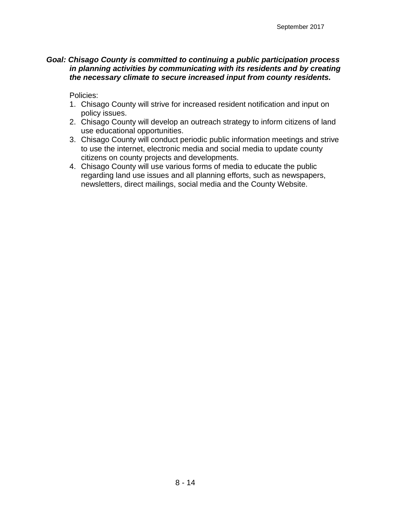#### *Goal: Chisago County is committed to continuing a public participation process in planning activities by communicating with its residents and by creating the necessary climate to secure increased input from county residents.*

Policies:

- 1. Chisago County will strive for increased resident notification and input on policy issues.
- 2. Chisago County will develop an outreach strategy to inform citizens of land use educational opportunities.
- 3. Chisago County will conduct periodic public information meetings and strive to use the internet, electronic media and social media to update county citizens on county projects and developments.
- 4. Chisago County will use various forms of media to educate the public regarding land use issues and all planning efforts, such as newspapers, newsletters, direct mailings, social media and the County Website.